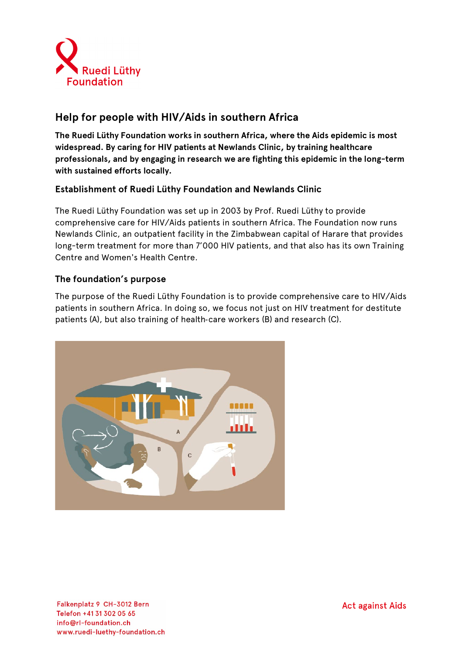

# **Help for people with HIV/Aids in southern Africa**

**The Ruedi Lüthy Foundation works in southern Africa, where the Aids epidemic is most widespread. By caring for HIV patients at Newlands Clinic, by training healthcare professionals, and by engaging in research we are fighting this epidemic in the long-term with sustained efforts locally.**

# **Establishment of Ruedi Lüthy Foundation and Newlands Clinic**

The Ruedi Lüthy Foundation was set up in 2003 by Prof. Ruedi Lüthy to provide comprehensive care for HIV/Aids patients in southern Africa. The Foundation now runs Newlands Clinic, an outpatient facility in the Zimbabwean capital of Harare that provides long-term treatment for more than 7'000 HIV patients, and that also has its own Training Centre and Women's Health Centre.

# **The foundation's purpose**

The purpose of the Ruedi Lüthy Foundation is to provide comprehensive care to HIV/Aids patients in southern Africa. In doing so, we focus not just on HIV treatment for destitute patients (A), but also training of health-care workers (B) and research (C).

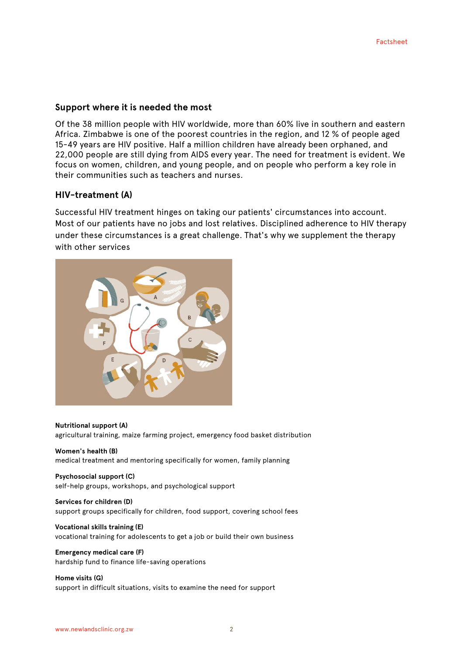#### **Support where it is needed the most**

Of the 38 million people with HIV worldwide, more than 60% live in southern and eastern Africa. Zimbabwe is one of the poorest countries in the region, and 12 % of people aged 15-49 years are HIV positive. Half a million children have already been orphaned, and 22,000 people are still dying from AIDS every year. The need for treatment is evident. We focus on women, children, and young people, and on people who perform a key role in their communities such as teachers and nurses.

#### **HIV-treatment (A)**

Successful HIV treatment hinges on taking our patients' circumstances into account. Most of our patients have no jobs and lost relatives. Disciplined adherence to HIV therapy under these circumstances is a great challenge. That's why we supplement the therapy with other services



#### **Nutritional support (A)**

agricultural training, maize farming project, emergency food basket distribution

**Women's health (B)** medical treatment and mentoring specifically for women, family planning

**Psychosocial support (C)** self-help groups, workshops, and psychological support

**Services for children (D)** support groups specifically for children, food support, covering school fees

**Vocational skills training (E)** vocational training for adolescents to get a job or build their own business

**Emergency medical care (F)** hardship fund to finance life-saving operations

**Home visits (G)** support in difficult situations, visits to examine the need for support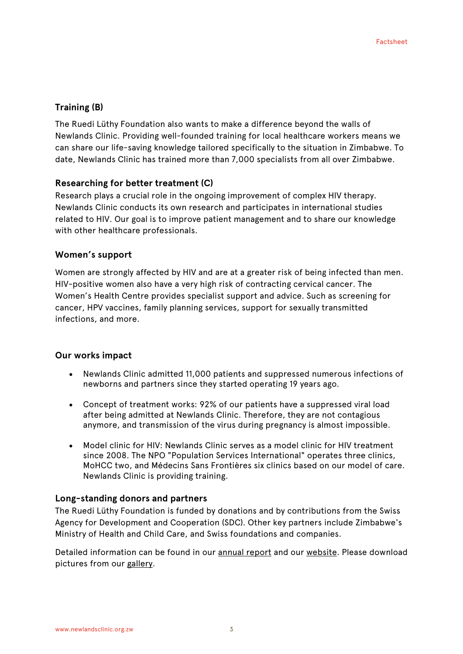### **Training (B)**

The Ruedi Lüthy Foundation also wants to make a difference beyond the walls of Newlands Clinic. Providing well-founded training for local healthcare workers means we can share our life-saving knowledge tailored specifically to the situation in Zimbabwe. To date, Newlands Clinic has trained more than 7,000 specialists from all over Zimbabwe.

### **Researching for better treatment (C)**

Research plays a crucial role in the ongoing improvement of complex HIV therapy. Newlands Clinic conducts its own research and participates in international studies related to HIV. Our goal is to improve patient management and to share our knowledge with other healthcare professionals.

#### **Women's support**

Women are strongly affected by HIV and are at a greater risk of being infected than men. HIV-positive women also have a very high risk of contracting cervical cancer. The Women's Health Centre provides specialist support and advice. Such as screening for cancer, HPV vaccines, family planning services, support for sexually transmitted infections, and more.

### **Our works impact**

- Newlands Clinic admitted 11,000 patients and suppressed numerous infections of newborns and partners since they started operating 19 years ago.
- Concept of treatment works: 92% of our patients have a suppressed viral load after being admitted at Newlands Clinic. Therefore, they are not contagious anymore, and transmission of the virus during pregnancy is almost impossible.
- Model clinic for HIV: Newlands Clinic serves as a model clinic for HIV treatment since 2008. The NPO "Population Services International" operates three clinics, MoHCC two, and Médecins Sans Frontières six clinics based on our model of care. Newlands Clinic is providing training.

### **Long-standing donors and partners**

The Ruedi Lüthy Foundation is funded by donations and by contributions from the Swiss Agency for Development and Cooperation (SDC). Other key partners include Zimbabwe's Ministry of Health and Child Care, and Swiss foundations and companies.

Detailed information can be found in our [annual report](mailto:https://www.ruedi-luethy-foundation.ch/en/news/publications.html) and our [website.](mailto:https://www.ruedi-luethy-foundation.ch/en/home.html) Please download pictures from our [gallery.](https://www.flickr.com/photos/ruedi-luethy-foundation/albums)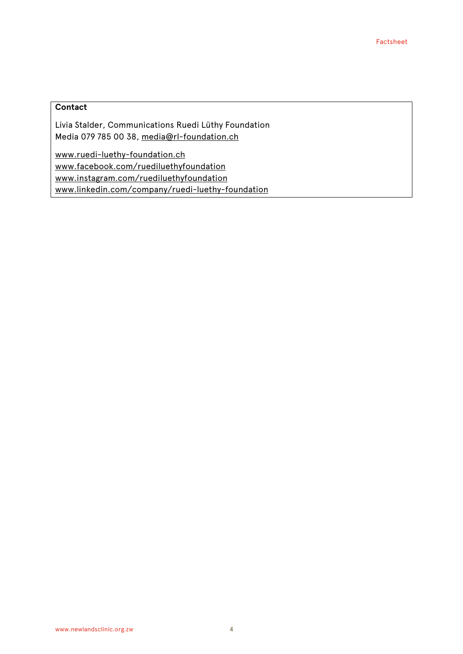### **Contact**

Livia Stalder, Communications Ruedi Lüthy Foundation Media 079 785 00 38, [media@rl-foundation.ch](mailto:media@rl-foundation.ch)

[www.ruedi-luethy-foundation.ch](http://www.ruedi-luethy-foundation.ch/) [www.facebook.com/ruediluethyfoundation](http://www.facebook.com/ruediluethyfoundation) [www.instagram.com/ruediluethyfoundation](http://www.instagram.com/ruediluethyfoundation) [www.linkedin.com/company/ruedi-luethy-foundation](http://www.linkedin.com/company/ruedi-luethy-foundation)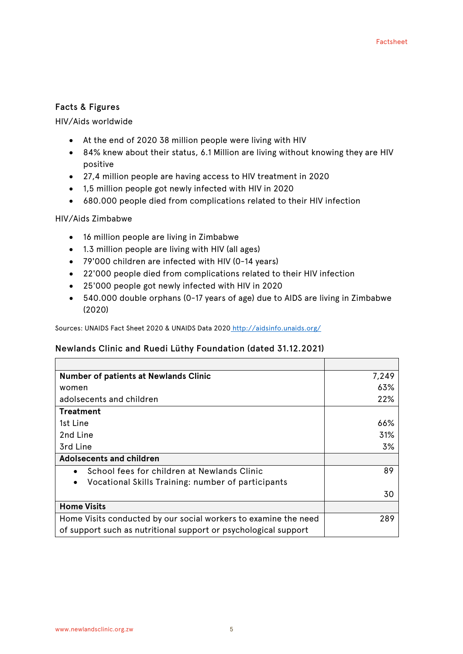#### Facts & Figures

#### HIV/Aids worldwide

- At the end of 2020 38 million people were living with HIV
- 84% knew about their status, 6.1 Million are living without knowing they are HIV positive
- 27,4 million people are having access to HIV treatment in 2020
- 1,5 million people got newly infected with HIV in 2020
- 680.000 people died from complications related to their HIV infection

#### HIV/Aids Zimbabwe

- 16 million people are living in Zimbabwe
- 1.3 million people are living with HIV (all ages)
- 79'000 children are infected with HIV (0-14 years)
- 22'000 people died from complications related to their HIV infection
- 25'000 people got newly infected with HIV in 2020
- 540.000 double orphans (0-17 years of age) due to AIDS are living in Zimbabwe (2020)

Sources: UNAIDS Fact Sheet 2020 & UNAIDS Data 2020 <http://aidsinfo.unaids.org/>

#### Newlands Clinic and Ruedi Lüthy Foundation (dated 31.12.2021)

| <b>Number of patients at Newlands Clinic</b>                    | 7,249 |
|-----------------------------------------------------------------|-------|
| women                                                           | 63%   |
| adolsecents and children                                        | 22%   |
| <b>Treatment</b>                                                |       |
| 1st Line                                                        | 66%   |
| 2nd Line                                                        | 31%   |
| 3rd Line                                                        | 3%    |
| Adolsecents and children                                        |       |
| School fees for children at Newlands Clinic                     | 89    |
| Vocational Skills Training: number of participants<br>$\bullet$ |       |
|                                                                 | 30    |
| <b>Home Visits</b>                                              |       |
| Home Visits conducted by our social workers to examine the need | 289   |
| of support such as nutritional support or psychological support |       |